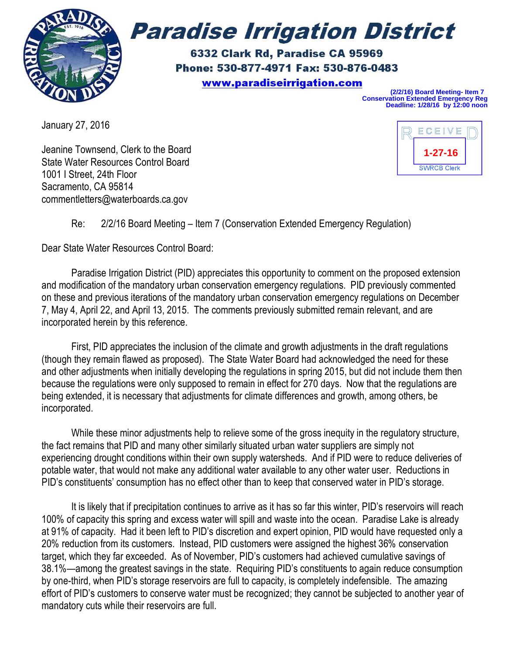

# **Paradise Irrigation District**

6332 Clark Rd, Paradise CA 95969 Phone: 530-877-4971 Fax: 530-876-0483 www.paradiseirrigation.com

**(2/2/16) Board Meeting- Item 7 Conservation Extended Emergency Reg Deadline: 1/28/16 by 12:00 noon**

January 27, 2016

Jeanine Townsend, Clerk to the Board State Water Resources Control Board 1001 I Street, 24th Floor Sacramento, CA 95814 commentletters@waterboards.ca.gov



## Re: 2/2/16 Board Meeting – Item 7 (Conservation Extended Emergency Regulation)

Dear State Water Resources Control Board:

Paradise Irrigation District (PID) appreciates this opportunity to comment on the proposed extension and modification of the mandatory urban conservation emergency regulations. PID previously commented on these and previous iterations of the mandatory urban conservation emergency regulations on December 7, May 4, April 22, and April 13, 2015. The comments previously submitted remain relevant, and are incorporated herein by this reference.

First, PID appreciates the inclusion of the climate and growth adjustments in the draft regulations (though they remain flawed as proposed). The State Water Board had acknowledged the need for these and other adjustments when initially developing the regulations in spring 2015, but did not include them then because the regulations were only supposed to remain in effect for 270 days. Now that the regulations are being extended, it is necessary that adjustments for climate differences and growth, among others, be incorporated.

While these minor adjustments help to relieve some of the gross inequity in the regulatory structure, the fact remains that PID and many other similarly situated urban water suppliers are simply not experiencing drought conditions within their own supply watersheds. And if PID were to reduce deliveries of potable water, that would not make any additional water available to any other water user. Reductions in PID's constituents' consumption has no effect other than to keep that conserved water in PID's storage.

It is likely that if precipitation continues to arrive as it has so far this winter, PID's reservoirs will reach 100% of capacity this spring and excess water will spill and waste into the ocean. Paradise Lake is already at 91% of capacity. Had it been left to PID's discretion and expert opinion, PID would have requested only a 20% reduction from its customers. Instead, PID customers were assigned the highest 36% conservation target, which they far exceeded. As of November, PID's customers had achieved cumulative savings of 38.1%—among the greatest savings in the state. Requiring PID's constituents to again reduce consumption by one-third, when PID's storage reservoirs are full to capacity, is completely indefensible. The amazing effort of PID's customers to conserve water must be recognized; they cannot be subjected to another year of mandatory cuts while their reservoirs are full.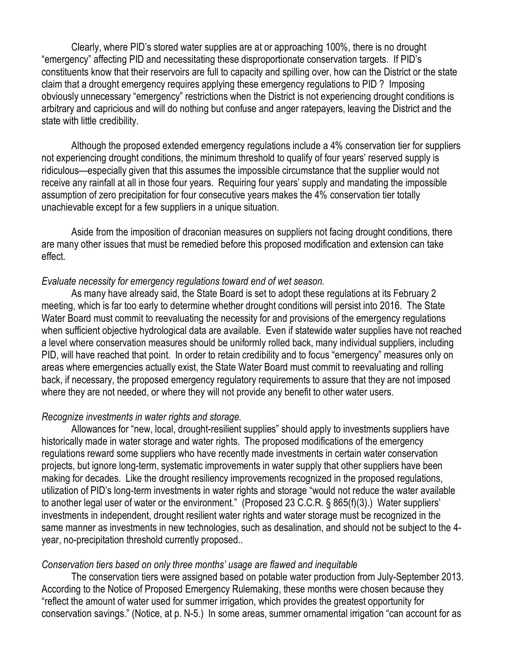Clearly, where PID's stored water supplies are at or approaching 100%, there is no drought "emergency" affecting PID and necessitating these disproportionate conservation targets. If PID's constituents know that their reservoirs are full to capacity and spilling over, how can the District or the state claim that a drought emergency requires applying these emergency regulations to PID ? Imposing obviously unnecessary "emergency" restrictions when the District is not experiencing drought conditions is arbitrary and capricious and will do nothing but confuse and anger ratepayers, leaving the District and the state with little credibility.

Although the proposed extended emergency regulations include a 4% conservation tier for suppliers not experiencing drought conditions, the minimum threshold to qualify of four years' reserved supply is ridiculous—especially given that this assumes the impossible circumstance that the supplier would not receive any rainfall at all in those four years. Requiring four years' supply and mandating the impossible assumption of zero precipitation for four consecutive years makes the 4% conservation tier totally unachievable except for a few suppliers in a unique situation.

Aside from the imposition of draconian measures on suppliers not facing drought conditions, there are many other issues that must be remedied before this proposed modification and extension can take effect.

### *Evaluate necessity for emergency regulations toward end of wet season.*

As many have already said, the State Board is set to adopt these regulations at its February 2 meeting, which is far too early to determine whether drought conditions will persist into 2016. The State Water Board must commit to reevaluating the necessity for and provisions of the emergency regulations when sufficient objective hydrological data are available. Even if statewide water supplies have not reached a level where conservation measures should be uniformly rolled back, many individual suppliers, including PID, will have reached that point. In order to retain credibility and to focus "emergency" measures only on areas where emergencies actually exist, the State Water Board must commit to reevaluating and rolling back, if necessary, the proposed emergency regulatory requirements to assure that they are not imposed where they are not needed, or where they will not provide any benefit to other water users.

#### *Recognize investments in water rights and storage.*

Allowances for "new, local, drought-resilient supplies" should apply to investments suppliers have historically made in water storage and water rights. The proposed modifications of the emergency regulations reward some suppliers who have recently made investments in certain water conservation projects, but ignore long-term, systematic improvements in water supply that other suppliers have been making for decades. Like the drought resiliency improvements recognized in the proposed regulations, utilization of PID's long-term investments in water rights and storage "would not reduce the water available to another legal user of water or the environment." (Proposed 23 C.C.R. § 865(f)(3).) Water suppliers' investments in independent, drought resilient water rights and water storage must be recognized in the same manner as investments in new technologies, such as desalination, and should not be subject to the 4 year, no-precipitation threshold currently proposed..

#### *Conservation tiers based on only three months' usage are flawed and inequitable*

The conservation tiers were assigned based on potable water production from July-September 2013. According to the Notice of Proposed Emergency Rulemaking, these months were chosen because they "reflect the amount of water used for summer irrigation, which provides the greatest opportunity for conservation savings." (Notice, at p. N-5.) In some areas, summer ornamental irrigation "can account for as